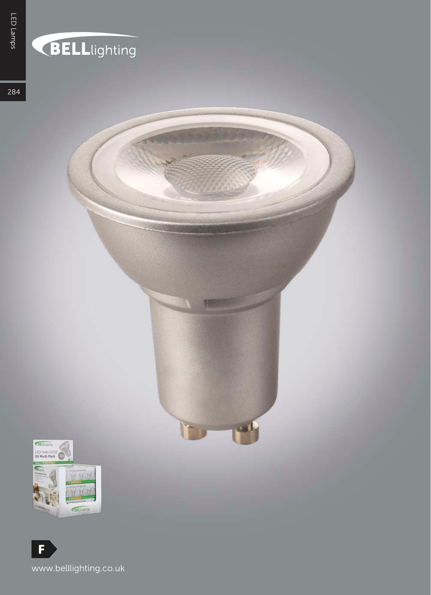## BELLlighting

284

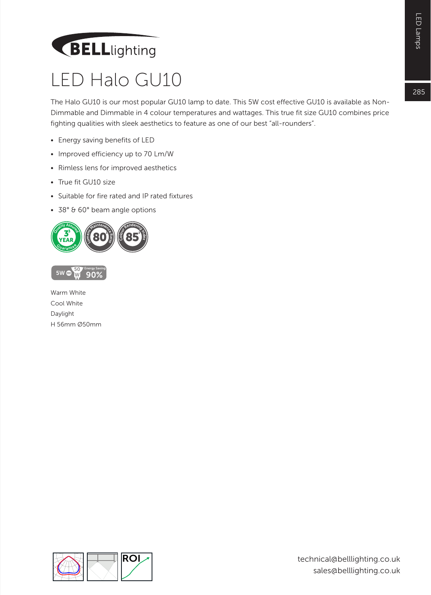# LED Lamps 285LED Lamps

 $285$ 

## BELLlighting

#### LED Halo GU10

The Halo GU10 is our most popular GU10 lamp to date. This 5W cost effective GU10 is available as Non-Dimmable and Dimmable in 4 colour temperatures and wattages. This true fit size GU10 combines price fighting qualities with sleek aesthetics to feature as one of our best "all-rounders".

- Energy saving benefits of LED
- Improved efficiency up to 70 Lm/W
- Rimless lens for improved aesthetics
- True fit GU10 size
- Suitable for fire rated and IP rated fixtures
- 38° & 60° beam angle options





Warm White Cool White Daylight H 56mm Ø50mm

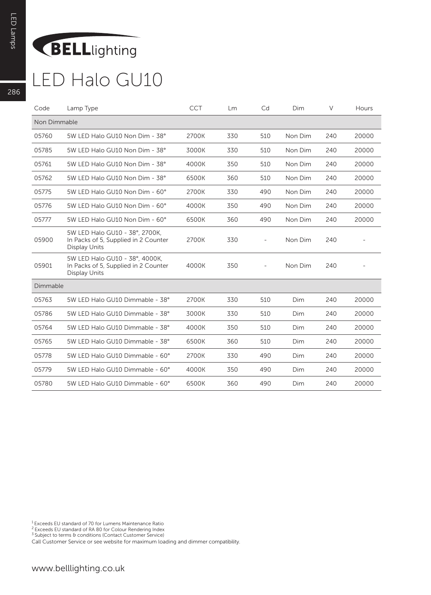### BELLlighting

#### LED Halo GU10

| Code         | Lamp Type                                                                               | <b>CCT</b> | Lm  | Cd                       | Dim     | $\vee$ | Hours |
|--------------|-----------------------------------------------------------------------------------------|------------|-----|--------------------------|---------|--------|-------|
| Non Dimmable |                                                                                         |            |     |                          |         |        |       |
| 05760        | 5W LED Halo GU10 Non Dim - 38°                                                          | 2700K      | 330 | 510                      | Non Dim | 240    | 20000 |
| 05785        | 5W LED Halo GU10 Non Dim - 38°                                                          | 3000K      | 330 | 510                      | Non Dim | 240    | 20000 |
| 05761        | 5W LED Halo GU10 Non Dim - 38°                                                          | 4000K      | 350 | 510                      | Non Dim | 240    | 20000 |
| 05762        | 5W LED Halo GU10 Non Dim - 38°                                                          | 6500K      | 360 | 510                      | Non Dim | 240    | 20000 |
| 05775        | 5W LED Halo GU10 Non Dim - 60°                                                          | 2700K      | 330 | 490                      | Non Dim | 240    | 20000 |
| 05776        | 5W LED Halo GU10 Non Dim - 60°                                                          | 4000K      | 350 | 490                      | Non Dim | 240    | 20000 |
| 05777        | 5W LED Halo GU10 Non Dim - 60°                                                          | 6500K      | 360 | 490                      | Non Dim | 240    | 20000 |
| 05900        | 5W LED Halo GU10 - 38°, 2700K.<br>In Packs of 5, Supplied in 2 Counter<br>Display Units | 2700K      | 330 |                          | Non Dim | 240    |       |
| 05901        | 5W LED Halo GU10 - 38°, 4000K,<br>In Packs of 5, Supplied in 2 Counter<br>Display Units | 4000K      | 350 | $\overline{\phantom{a}}$ | Non Dim | 240    |       |
| Dimmable     |                                                                                         |            |     |                          |         |        |       |
| 05763        | 5W LED Halo GU10 Dimmable - 38°                                                         | 2700K      | 330 | 510                      | Dim     | 240    | 20000 |
| 05786        | 5W LED Halo GU10 Dimmable - 38°                                                         | 3000K      | 330 | 510                      | Dim     | 240    | 20000 |
| 05764        | 5W LED Halo GU10 Dimmable - 38°                                                         | 4000K      | 350 | 510                      | Dim     | 240    | 20000 |
| 05765        | 5W LED Halo GU10 Dimmable - 38°                                                         | 6500K      | 360 | 510                      | Dim     | 240    | 20000 |
| 05778        | 5W LED Halo GU10 Dimmable - 60°                                                         | 2700K      | 330 | 490                      | Dim     | 240    | 20000 |
| 05779        | 5W LED Halo GU10 Dimmable - 60°                                                         | 4000K      | 350 | 490                      | Dim     | 240    | 20000 |
| 05780        | 5W LED Halo GU10 Dimmable - 60°                                                         | 6500K      | 360 | 490                      | Dim     | 240    | 20000 |

1 Exceeds EU standard of 70 for Lumens Maintenance Ratio

<sup>2</sup> Exceeds EU standard of RA 80 for Colour Rendering Index<br><sup>3</sup> Subject to terms & conditions (Contact Customer Service)

Call Customer Service or see website for maximum loading and dimmer compatibility.

286